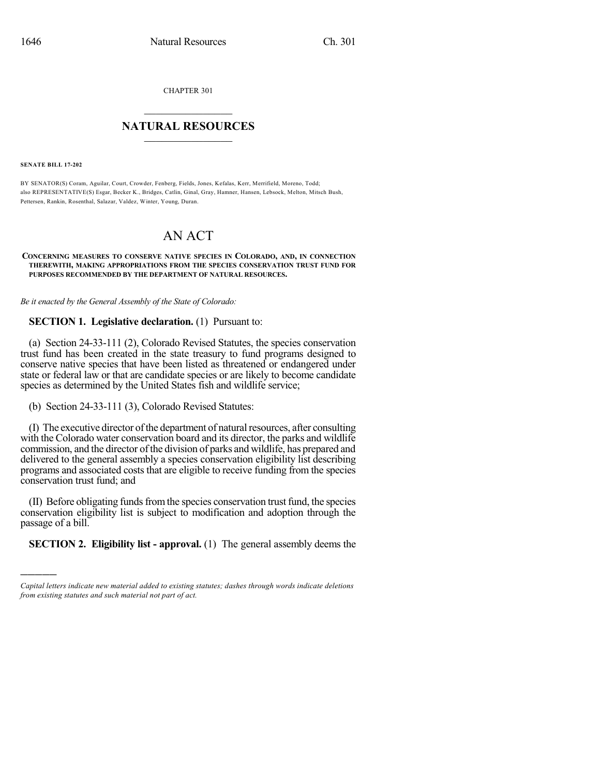CHAPTER 301

## $\overline{\phantom{a}}$  . The set of the set of the set of the set of the set of the set of the set of the set of the set of the set of the set of the set of the set of the set of the set of the set of the set of the set of the set o **NATURAL RESOURCES**  $\frac{1}{\sqrt{2}}$  ,  $\frac{1}{\sqrt{2}}$  ,  $\frac{1}{\sqrt{2}}$  ,  $\frac{1}{\sqrt{2}}$  ,  $\frac{1}{\sqrt{2}}$  ,  $\frac{1}{\sqrt{2}}$

**SENATE BILL 17-202**

)))))

BY SENATOR(S) Coram, Aguilar, Court, Crowder, Fenberg, Fields, Jones, Kefalas, Kerr, Merrifield, Moreno, Todd; also REPRESENTATIVE(S) Esgar, Becker K., Bridges, Catlin, Ginal, Gray, Hamner, Hansen, Lebsock, Melton, Mitsch Bush, Pettersen, Rankin, Rosenthal, Salazar, Valdez, Winter, Young, Duran.

# AN ACT

#### **CONCERNING MEASURES TO CONSERVE NATIVE SPECIES IN COLORADO, AND, IN CONNECTION THEREWITH, MAKING APPROPRIATIONS FROM THE SPECIES CONSERVATION TRUST FUND FOR PURPOSES RECOMMENDED BY THE DEPARTMENT OF NATURAL RESOURCES.**

*Be it enacted by the General Assembly of the State of Colorado:*

### **SECTION 1. Legislative declaration.** (1) Pursuant to:

(a) Section 24-33-111 (2), Colorado Revised Statutes, the species conservation trust fund has been created in the state treasury to fund programs designed to conserve native species that have been listed as threatened or endangered under state or federal law or that are candidate species or are likely to become candidate species as determined by the United States fish and wildlife service;

(b) Section 24-33-111 (3), Colorado Revised Statutes:

(I) The executive director of the department of natural resources, after consulting with the Colorado water conservation board and its director, the parks and wildlife commission, and the director of the division of parks and wildlife, has prepared and delivered to the general assembly a species conservation eligibility list describing programs and associated costs that are eligible to receive funding from the species conservation trust fund; and

(II) Before obligating funds from the species conservation trust fund, the species conservation eligibility list is subject to modification and adoption through the passage of a bill.

**SECTION 2. Eligibility list - approval.** (1) The general assembly deems the

*Capital letters indicate new material added to existing statutes; dashes through words indicate deletions from existing statutes and such material not part of act.*